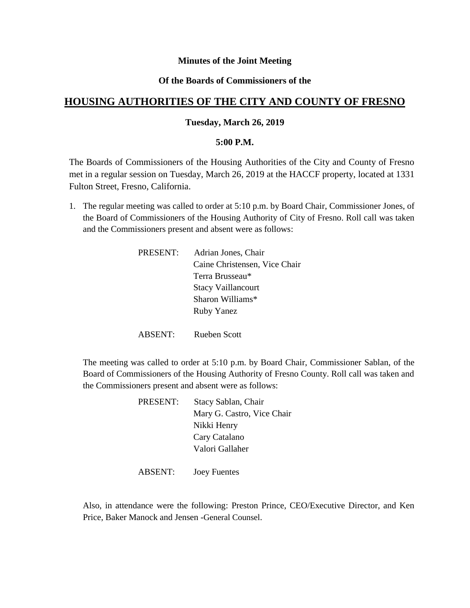### **Minutes of the Joint Meeting**

## **Of the Boards of Commissioners of the**

# **HOUSING AUTHORITIES OF THE CITY AND COUNTY OF FRESNO**

#### **Tuesday, March 26, 2019**

#### **5:00 P.M.**

The Boards of Commissioners of the Housing Authorities of the City and County of Fresno met in a regular session on Tuesday, March 26, 2019 at the HACCF property, located at 1331 Fulton Street, Fresno, California.

1. The regular meeting was called to order at 5:10 p.m. by Board Chair, Commissioner Jones, of the Board of Commissioners of the Housing Authority of City of Fresno. Roll call was taken and the Commissioners present and absent were as follows:

| PRESENT: | Adrian Jones, Chair           |
|----------|-------------------------------|
|          | Caine Christensen, Vice Chair |
|          | Terra Brusseau*               |
|          | <b>Stacy Vaillancourt</b>     |
|          | Sharon Williams*              |
|          | <b>Ruby Yanez</b>             |
|          |                               |

ABSENT: Rueben Scott

The meeting was called to order at 5:10 p.m. by Board Chair, Commissioner Sablan, of the Board of Commissioners of the Housing Authority of Fresno County. Roll call was taken and the Commissioners present and absent were as follows:

| PRESENT: | Stacy Sablan, Chair        |
|----------|----------------------------|
|          | Mary G. Castro, Vice Chair |
|          | Nikki Henry                |
|          | Cary Catalano              |
|          | Valori Gallaher            |
|          |                            |

ABSENT: Joey Fuentes

Also, in attendance were the following: Preston Prince, CEO/Executive Director, and Ken Price, Baker Manock and Jensen -General Counsel.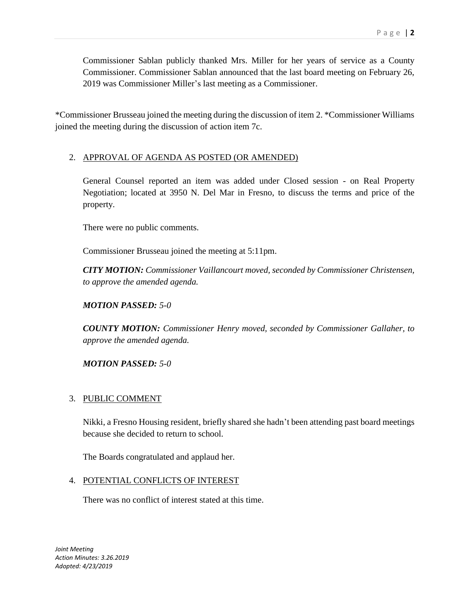Commissioner Sablan publicly thanked Mrs. Miller for her years of service as a County Commissioner. Commissioner Sablan announced that the last board meeting on February 26, 2019 was Commissioner Miller's last meeting as a Commissioner.

\*Commissioner Brusseau joined the meeting during the discussion of item 2. \*Commissioner Williams joined the meeting during the discussion of action item 7c.

## 2. APPROVAL OF AGENDA AS POSTED (OR AMENDED)

General Counsel reported an item was added under Closed session - on Real Property Negotiation; located at 3950 N. Del Mar in Fresno, to discuss the terms and price of the property.

There were no public comments.

Commissioner Brusseau joined the meeting at 5:11pm.

*CITY MOTION: Commissioner Vaillancourt moved, seconded by Commissioner Christensen, to approve the amended agenda.*

*MOTION PASSED: 5-0*

*COUNTY MOTION: Commissioner Henry moved, seconded by Commissioner Gallaher, to approve the amended agenda.*

*MOTION PASSED: 5-0*

## 3. PUBLIC COMMENT

Nikki, a Fresno Housing resident, briefly shared she hadn't been attending past board meetings because she decided to return to school.

The Boards congratulated and applaud her.

## 4. POTENTIAL CONFLICTS OF INTEREST

There was no conflict of interest stated at this time.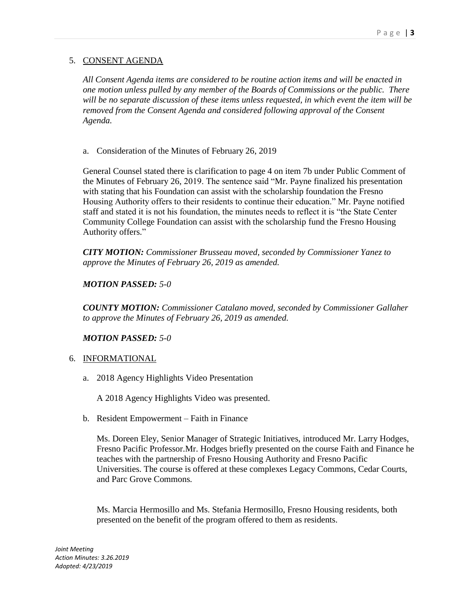## 5. CONSENT AGENDA

*All Consent Agenda items are considered to be routine action items and will be enacted in one motion unless pulled by any member of the Boards of Commissions or the public. There will be no separate discussion of these items unless requested, in which event the item will be removed from the Consent Agenda and considered following approval of the Consent Agenda.*

a. Consideration of the Minutes of February 26, 2019

General Counsel stated there is clarification to page 4 on item 7b under Public Comment of the Minutes of February 26, 2019. The sentence said "Mr. Payne finalized his presentation with stating that his Foundation can assist with the scholarship foundation the Fresno Housing Authority offers to their residents to continue their education." Mr. Payne notified staff and stated it is not his foundation, the minutes needs to reflect it is "the State Center Community College Foundation can assist with the scholarship fund the Fresno Housing Authority offers."

*CITY MOTION: Commissioner Brusseau moved, seconded by Commissioner Yanez to approve the Minutes of February 26, 2019 as amended.*

## *MOTION PASSED: 5-0*

*COUNTY MOTION: Commissioner Catalano moved, seconded by Commissioner Gallaher to approve the Minutes of February 26, 2019 as amended.*

## *MOTION PASSED: 5-0*

## 6. INFORMATIONAL

a. 2018 Agency Highlights Video Presentation

A 2018 Agency Highlights Video was presented.

b. Resident Empowerment – Faith in Finance

Ms. Doreen Eley, Senior Manager of Strategic Initiatives, introduced Mr. Larry Hodges, Fresno Pacific Professor.Mr. Hodges briefly presented on the course Faith and Finance he teaches with the partnership of Fresno Housing Authority and Fresno Pacific Universities. The course is offered at these complexes Legacy Commons, Cedar Courts, and Parc Grove Commons.

Ms. Marcia Hermosillo and Ms. Stefania Hermosillo, Fresno Housing residents, both presented on the benefit of the program offered to them as residents.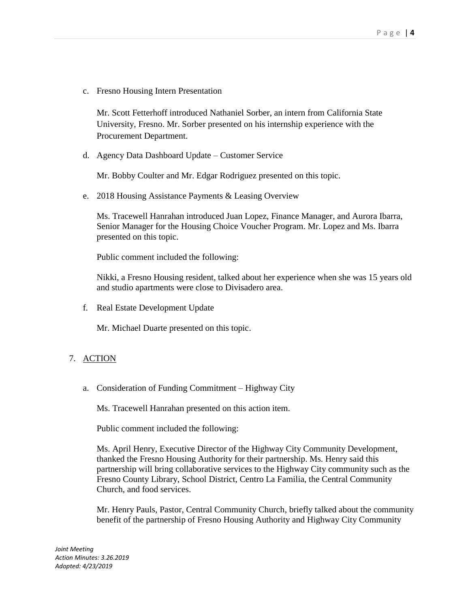c. Fresno Housing Intern Presentation

Mr. Scott Fetterhoff introduced Nathaniel Sorber, an intern from California State University, Fresno. Mr. Sorber presented on his internship experience with the Procurement Department.

d. Agency Data Dashboard Update – Customer Service

Mr. Bobby Coulter and Mr. Edgar Rodriguez presented on this topic.

e. 2018 Housing Assistance Payments & Leasing Overview

Ms. Tracewell Hanrahan introduced Juan Lopez, Finance Manager, and Aurora Ibarra, Senior Manager for the Housing Choice Voucher Program. Mr. Lopez and Ms. Ibarra presented on this topic.

Public comment included the following:

Nikki, a Fresno Housing resident, talked about her experience when she was 15 years old and studio apartments were close to Divisadero area.

f. Real Estate Development Update

Mr. Michael Duarte presented on this topic.

## 7. ACTION

a. Consideration of Funding Commitment – Highway City

Ms. Tracewell Hanrahan presented on this action item.

Public comment included the following:

Ms. April Henry, Executive Director of the Highway City Community Development, thanked the Fresno Housing Authority for their partnership. Ms. Henry said this partnership will bring collaborative services to the Highway City community such as the Fresno County Library, School District, Centro La Familia, the Central Community Church, and food services.

Mr. Henry Pauls, Pastor, Central Community Church, briefly talked about the community benefit of the partnership of Fresno Housing Authority and Highway City Community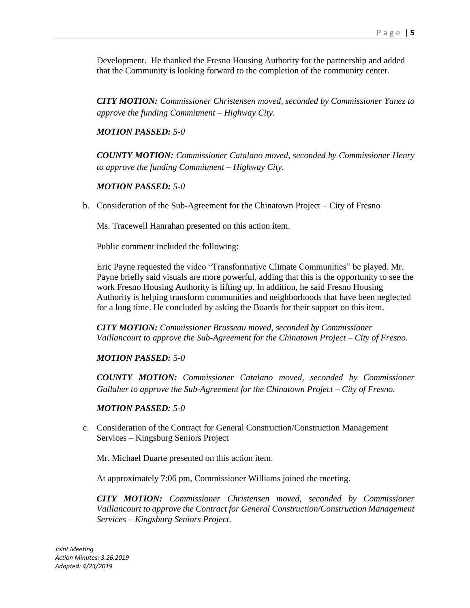Development. He thanked the Fresno Housing Authority for the partnership and added that the Community is looking forward to the completion of the community center.

*CITY MOTION: Commissioner Christensen moved, seconded by Commissioner Yanez to approve the funding Commitment – Highway City.*

*MOTION PASSED: 5-0*

*COUNTY MOTION: Commissioner Catalano moved, seconded by Commissioner Henry to approve the funding Commitment – Highway City.*

#### *MOTION PASSED: 5-0*

b. Consideration of the Sub-Agreement for the Chinatown Project – City of Fresno

Ms. Tracewell Hanrahan presented on this action item.

Public comment included the following:

Eric Payne requested the video "Transformative Climate Communities" be played. Mr. Payne briefly said visuals are more powerful, adding that this is the opportunity to see the work Fresno Housing Authority is lifting up. In addition, he said Fresno Housing Authority is helping transform communities and neighborhoods that have been neglected for a long time. He concluded by asking the Boards for their support on this item.

*CITY MOTION: Commissioner Brusseau moved, seconded by Commissioner Vaillancourt to approve the Sub-Agreement for the Chinatown Project – City of Fresno.*

*MOTION PASSED:* 5*-0*

*COUNTY MOTION: Commissioner Catalano moved, seconded by Commissioner Gallaher to approve the Sub-Agreement for the Chinatown Project – City of Fresno.*

#### *MOTION PASSED: 5-0*

c. Consideration of the Contract for General Construction/Construction Management Services – Kingsburg Seniors Project

Mr. Michael Duarte presented on this action item.

At approximately 7:06 pm, Commissioner Williams joined the meeting.

*CITY MOTION: Commissioner Christensen moved, seconded by Commissioner Vaillancourt to approve the Contract for General Construction/Construction Management Services – Kingsburg Seniors Project.*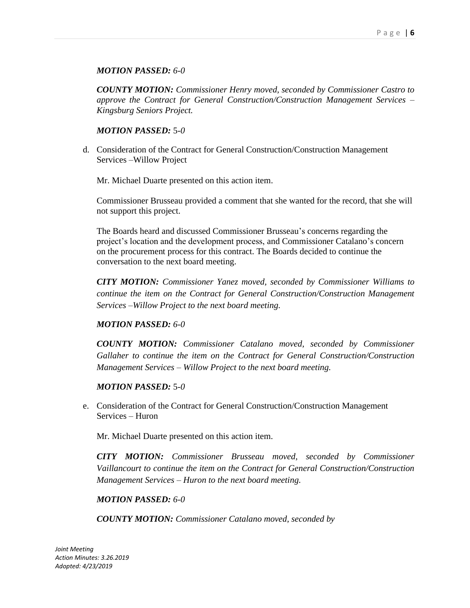### *MOTION PASSED: 6-0*

*COUNTY MOTION: Commissioner Henry moved, seconded by Commissioner Castro to approve the Contract for General Construction/Construction Management Services – Kingsburg Seniors Project.*

#### *MOTION PASSED:* 5*-0*

d. Consideration of the Contract for General Construction/Construction Management Services –Willow Project

Mr. Michael Duarte presented on this action item.

Commissioner Brusseau provided a comment that she wanted for the record, that she will not support this project.

The Boards heard and discussed Commissioner Brusseau's concerns regarding the project's location and the development process, and Commissioner Catalano's concern on the procurement process for this contract. The Boards decided to continue the conversation to the next board meeting.

*CITY MOTION: Commissioner Yanez moved, seconded by Commissioner Williams to continue the item on the Contract for General Construction/Construction Management Services –Willow Project to the next board meeting.*

## *MOTION PASSED: 6-0*

*COUNTY MOTION: Commissioner Catalano moved, seconded by Commissioner Gallaher to continue the item on the Contract for General Construction/Construction Management Services – Willow Project to the next board meeting.*

#### *MOTION PASSED:* 5*-0*

e. Consideration of the Contract for General Construction/Construction Management Services – Huron

Mr. Michael Duarte presented on this action item.

*CITY MOTION: Commissioner Brusseau moved, seconded by Commissioner Vaillancourt to continue the item on the Contract for General Construction/Construction Management Services – Huron to the next board meeting.*

#### *MOTION PASSED: 6-0*

*COUNTY MOTION: Commissioner Catalano moved, seconded by*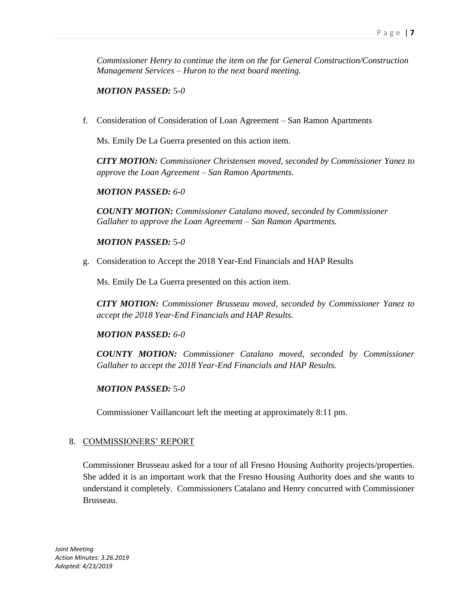*Commissioner Henry to continue the item on the for General Construction/Construction Management Services – Huron to the next board meeting.*

*MOTION PASSED:* 5*-0*

f. Consideration of Consideration of Loan Agreement – San Ramon Apartments

Ms. Emily De La Guerra presented on this action item.

*CITY MOTION: Commissioner Christensen moved, seconded by Commissioner Yanez to approve the Loan Agreement – San Ramon Apartments.*

*MOTION PASSED: 6-0*

*COUNTY MOTION: Commissioner Catalano moved, seconded by Commissioner Gallaher to approve the Loan Agreement – San Ramon Apartments.*

*MOTION PASSED:* 5*-0*

g. Consideration to Accept the 2018 Year-End Financials and HAP Results

Ms. Emily De La Guerra presented on this action item.

*CITY MOTION: Commissioner Brusseau moved, seconded by Commissioner Yanez to accept the 2018 Year-End Financials and HAP Results.*

*MOTION PASSED: 6-0*

*COUNTY MOTION: Commissioner Catalano moved, seconded by Commissioner Gallaher to accept the 2018 Year-End Financials and HAP Results.*

## *MOTION PASSED:* 5*-0*

Commissioner Vaillancourt left the meeting at approximately 8:11 pm.

## 8. COMMISSIONERS' REPORT

Commissioner Brusseau asked for a tour of all Fresno Housing Authority projects/properties. She added it is an important work that the Fresno Housing Authority does and she wants to understand it completely. Commissioners Catalano and Henry concurred with Commissioner Brusseau.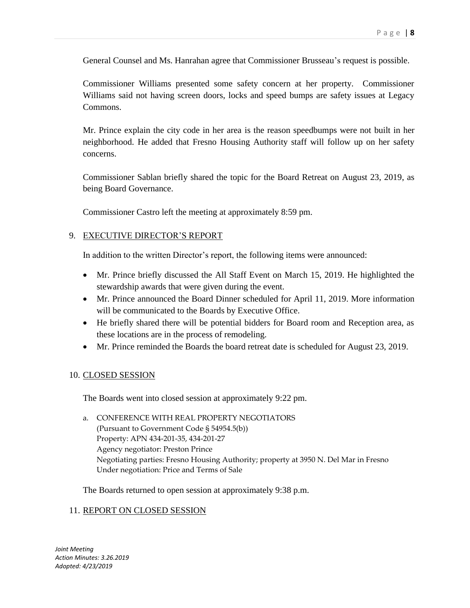General Counsel and Ms. Hanrahan agree that Commissioner Brusseau's request is possible.

Commissioner Williams presented some safety concern at her property. Commissioner Williams said not having screen doors, locks and speed bumps are safety issues at Legacy Commons.

Mr. Prince explain the city code in her area is the reason speedbumps were not built in her neighborhood. He added that Fresno Housing Authority staff will follow up on her safety concerns.

Commissioner Sablan briefly shared the topic for the Board Retreat on August 23, 2019, as being Board Governance.

Commissioner Castro left the meeting at approximately 8:59 pm.

#### 9. EXECUTIVE DIRECTOR'S REPORT

In addition to the written Director's report, the following items were announced:

- Mr. Prince briefly discussed the All Staff Event on March 15, 2019. He highlighted the stewardship awards that were given during the event.
- Mr. Prince announced the Board Dinner scheduled for April 11, 2019. More information will be communicated to the Boards by Executive Office.
- He briefly shared there will be potential bidders for Board room and Reception area, as these locations are in the process of remodeling.
- Mr. Prince reminded the Boards the board retreat date is scheduled for August 23, 2019.

#### 10. CLOSED SESSION

The Boards went into closed session at approximately 9:22 pm.

a. CONFERENCE WITH REAL PROPERTY NEGOTIATORS (Pursuant to Government Code § 54954.5(b)) Property: APN 434-201-35, 434-201-27 Agency negotiator: Preston Prince Negotiating parties: Fresno Housing Authority; property at 3950 N. Del Mar in Fresno Under negotiation: Price and Terms of Sale

The Boards returned to open session at approximately 9:38 p.m.

#### 11. REPORT ON CLOSED SESSION